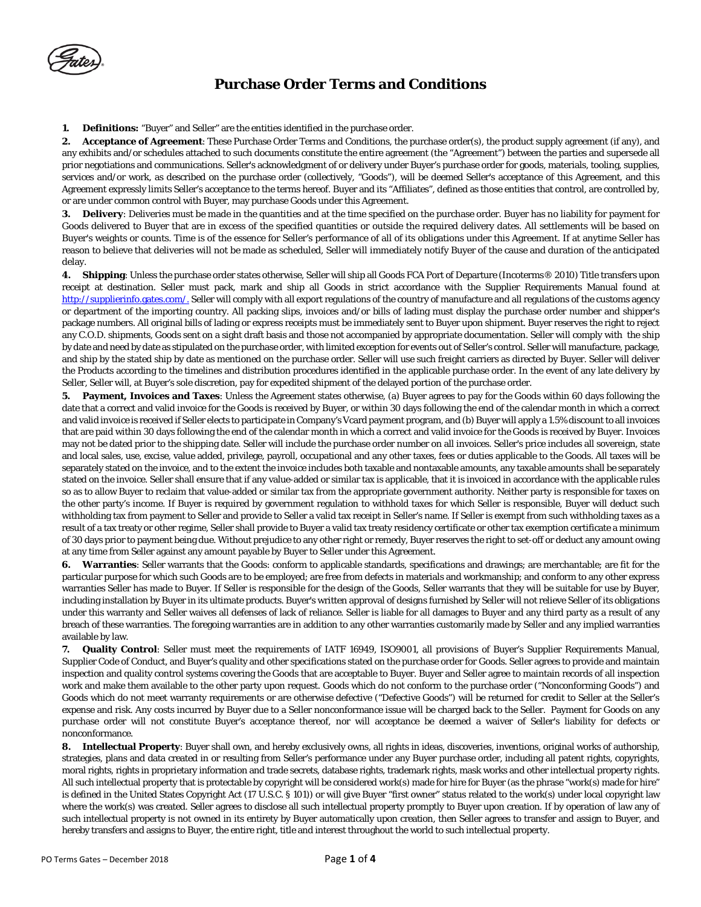**1. Definitions:** "Buyer" and Seller" are the entities identified in the purchase order.

**2. Acceptance of Agreement**: These Purchase Order Terms and Conditions, the purchase order(s), the product supply agreement (if any), and any exhibits and/or schedules attached to such documents constitute the entire agreement (the "Agreement") between the parties and supersede all prior negotiations and communications. Seller's acknowledgment of or delivery under Buyer's purchase order for goods, materials, tooling, supplies, services and/or work, as described on the purchase order (collectively, "Goods"), will be deemed Seller's acceptance of this Agreement, and this Agreement expressly limits Seller's acceptance to the terms hereof. Buyer and its "Affiliates", defined as those entities that control, are controlled by, or are under common control with Buyer, may purchase Goods under this Agreement.

**3. Delivery**: Deliveries must be made in the quantities and at the time specified on the purchase order. Buyer has no liability for payment for Goods delivered to Buyer that are in excess of the specified quantities or outside the required delivery dates. All settlements will be based on Buyer's weights or counts. Time is of the essence for Seller's performance of all of its obligations under this Agreement. If at anytime Seller has reason to believe that deliveries will not be made as scheduled, Seller will immediately notify Buyer of the cause and duration of the anticipated delay.

**4. Shipping**: Unless the purchase order states otherwise, Seller will ship all Goods FCA Port of Departure (Incoterms® 2010) Title transfers upon receipt at destination. Seller must pack, mark and ship all Goods in strict accordance with the Supplier Requirements Manual found at [http://supplierinfo.gates.com/.](http://supplierinfo.gates.com/) Seller will comply with all export regulations of the country of manufacture and all regulations of the customs agency or department of the importing country. All packing slips, invoices and/or bills of lading must display the purchase order number and shipper's package numbers. All original bills of lading or express receipts must be immediately sent to Buyer upon shipment. Buyer reserves the right to reject any C.O.D. shipments, Goods sent on a sight draft basis and those not accompanied by appropriate documentation. Seller will comply with the ship by date and need by date as stipulated on the purchase order, with limited exception for events out of Seller's control. Seller will manufacture, package, and ship by the stated ship by date as mentioned on the purchase order. Seller will use such freight carriers as directed by Buyer. Seller will deliver the Products according to the timelines and distribution procedures identified in the applicable purchase order. In the event of any late delivery by Seller, Seller will, at Buyer's sole discretion, pay for expedited shipment of the delayed portion of the purchase order.

**5. Payment, Invoices and Taxes**: Unless the Agreement states otherwise, (a) Buyer agrees to pay for the Goods within 60 days following the date that a correct and valid invoice for the Goods is received by Buyer, or within 30 days following the end of the calendar month in which a correct and valid invoice is received if Seller elects to participate in Company's Vcard payment program, and (b) Buyer will apply a 1.5% discount to all invoices that are paid within 30 days following the end of the calendar month in which a correct and valid invoice for the Goods is received by Buyer. Invoices may not be dated prior to the shipping date. Seller will include the purchase order number on all invoices. Seller's price includes all sovereign, state and local sales, use, excise, value added, privilege, payroll, occupational and any other taxes, fees or duties applicable to the Goods. All taxes will be separately stated on the invoice, and to the extent the invoice includes both taxable and nontaxable amounts, any taxable amounts shall be separately stated on the invoice. Seller shall ensure that if any value-added or similar tax is applicable, that it is invoiced in accordance with the applicable rules so as to allow Buyer to reclaim that value-added or similar tax from the appropriate government authority. Neither party is responsible for taxes on the other party's income. If Buyer is required by government regulation to withhold taxes for which Seller is responsible, Buyer will deduct such withholding tax from payment to Seller and provide to Seller a valid tax receipt in Seller's name. If Seller is exempt from such withholding taxes as a result of a tax treaty or other regime, Seller shall provide to Buyer a valid tax treaty residency certificate or other tax exemption certificate a minimum of 30 days prior to payment being due. Without prejudice to any other right or remedy, Buyer reserves the right to set-off or deduct any amount owing at any time from Seller against any amount payable by Buyer to Seller under this Agreement.

**6. Warranties**: Seller warrants that the Goods: conform to applicable standards, specifications and drawings; are merchantable; are fit for the particular purpose for which such Goods are to be employed; are free from defects in materials and workmanship; and conform to any other express warranties Seller has made to Buyer. If Seller is responsible for the design of the Goods, Seller warrants that they will be suitable for use by Buyer, including installation by Buyer in its ultimate products. Buyer's written approval of designs furnished by Seller will not relieve Seller of its obligations under this warranty and Seller waives all defenses of lack of reliance. Seller is liable for all damages to Buyer and any third party as a result of any breach of these warranties. The foregoing warranties are in addition to any other warranties customarily made by Seller and any implied warranties available by law.

**7. Quality Control**: Seller must meet the requirements of IATF 16949, ISO9001, all provisions of Buyer's Supplier Requirements Manual, Supplier Code of Conduct, and Buyer's quality and other specifications stated on the purchase order for Goods. Seller agrees to provide and maintain inspection and quality control systems covering the Goods that are acceptable to Buyer. Buyer and Seller agree to maintain records of all inspection work and make them available to the other party upon request. Goods which do not conform to the purchase order ("Nonconforming Goods") and Goods which do not meet warranty requirements or are otherwise defective ("Defective Goods") will be returned for credit to Seller at the Seller's expense and risk. Any costs incurred by Buyer due to a Seller nonconformance issue will be charged back to the Seller. Payment for Goods on any purchase order will not constitute Buyer's acceptance thereof, nor will acceptance be deemed a waiver of Seller's liability for defects or nonconformance.

**8. Intellectual Property**: Buyer shall own, and hereby exclusively owns, all rights in ideas, discoveries, inventions, original works of authorship, strategies, plans and data created in or resulting from Seller's performance under any Buyer purchase order, including all patent rights, copyrights, moral rights, rights in proprietary information and trade secrets, database rights, trademark rights, mask works and other intellectual property rights. All such intellectual property that is protectable by copyright will be considered work(s) made for hire for Buyer (as the phrase "work(s) made for hire" is defined in the United States Copyright Act (17 U.S.C. § 101)) or will give Buyer "first owner" status related to the work(s) under local copyright law where the work(s) was created. Seller agrees to disclose all such intellectual property promptly to Buyer upon creation. If by operation of law any of such intellectual property is not owned in its entirety by Buyer automatically upon creation, then Seller agrees to transfer and assign to Buyer, and hereby transfers and assigns to Buyer, the entire right, title and interest throughout the world to such intellectual property.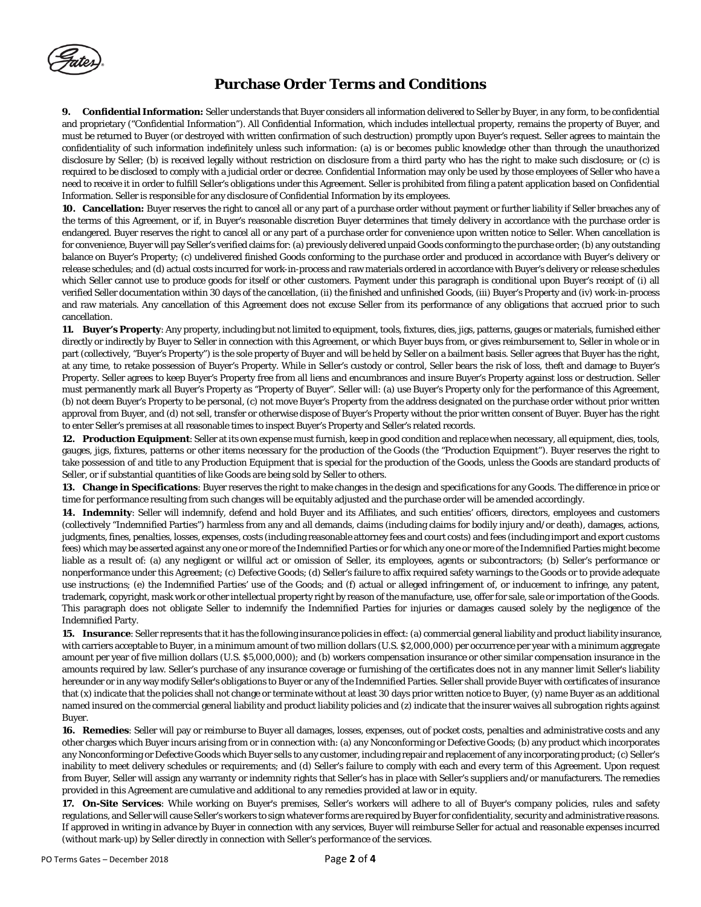**9. Confidential Information:** Seller understands that Buyer considers all information delivered to Seller by Buyer, in any form, to be confidential and proprietary ("Confidential Information"). All Confidential Information, which includes intellectual property, remains the property of Buyer, and must be returned to Buyer (or destroyed with written confirmation of such destruction) promptly upon Buyer's request. Seller agrees to maintain the confidentiality of such information indefinitely unless such information: (a) is or becomes public knowledge other than through the unauthorized disclosure by Seller; (b) is received legally without restriction on disclosure from a third party who has the right to make such disclosure; or (c) is required to be disclosed to comply with a judicial order or decree. Confidential Information may only be used by those employees of Seller who have a need to receive it in order to fulfill Seller's obligations under this Agreement. Seller is prohibited from filing a patent application based on Confidential Information. Seller is responsible for any disclosure of Confidential Information by its employees.

**10. Cancellation:** Buyer reserves the right to cancel all or any part of a purchase order without payment or further liability if Seller breaches any of the terms of this Agreement, or if, in Buyer's reasonable discretion Buyer determines that timely delivery in accordance with the purchase order is endangered. Buyer reserves the right to cancel all or any part of a purchase order for convenience upon written notice to Seller. When cancellation is for convenience, Buyer will pay Seller's verified claims for: (a) previously delivered unpaid Goods conforming to the purchase order; (b) any outstanding balance on Buyer's Property; (c) undelivered finished Goods conforming to the purchase order and produced in accordance with Buyer's delivery or release schedules; and (d) actual costs incurred for work-in-process and raw materials ordered in accordance with Buyer's delivery or release schedules which Seller cannot use to produce goods for itself or other customers. Payment under this paragraph is conditional upon Buyer's receipt of (i) all verified Seller documentation within 30 days of the cancellation, (ii) the finished and unfinished Goods, (iii) Buyer's Property and (iv) work-in-process and raw materials. Any cancellation of this Agreement does not excuse Seller from its performance of any obligations that accrued prior to such cancellation.

**11. Buyer's Property**: Any property, including but not limited to equipment, tools, fixtures, dies, jigs, patterns, gauges or materials, furnished either directly or indirectly by Buyer to Seller in connection with this Agreement, or which Buyer buys from, or gives reimbursement to, Seller in whole or in part (collectively, "Buyer's Property") is the sole property of Buyer and will be held by Seller on a bailment basis. Seller agrees that Buyer has the right, at any time, to retake possession of Buyer's Property. While in Seller's custody or control, Seller bears the risk of loss, theft and damage to Buyer's Property. Seller agrees to keep Buyer's Property free from all liens and encumbrances and insure Buyer's Property against loss or destruction. Seller must permanently mark all Buyer's Property as "Property of Buyer". Seller will: (a) use Buyer's Property only for the performance of this Agreement, (b) not deem Buyer's Property to be personal, (c) not move Buyer's Property from the address designated on the purchase order without prior written approval from Buyer, and (d) not sell, transfer or otherwise dispose of Buyer's Property without the prior written consent of Buyer. Buyer has the right to enter Seller's premises at all reasonable times to inspect Buyer's Property and Seller's related records.

**12. Production Equipment**: Seller at its own expense must furnish, keep in good condition and replace when necessary, all equipment, dies, tools, gauges, jigs, fixtures, patterns or other items necessary for the production of the Goods (the "Production Equipment"). Buyer reserves the right to take possession of and title to any Production Equipment that is special for the production of the Goods, unless the Goods are standard products of Seller, or if substantial quantities of like Goods are being sold by Seller to others.

**13. Change in Specifications**: Buyer reserves the right to make changes in the design and specifications for any Goods. The difference in price or time for performance resulting from such changes will be equitably adjusted and the purchase order will be amended accordingly.

**14. Indemnity**: Seller will indemnify, defend and hold Buyer and its Affiliates, and such entities' officers, directors, employees and customers (collectively "Indemnified Parties") harmless from any and all demands, claims (including claims for bodily injury and/or death), damages, actions, judgments, fines, penalties, losses, expenses, costs (including reasonable attorney fees and court costs) and fees (including import and export customs fees) which may be asserted against any one or more of the Indemnified Parties or for which any one or more of the Indemnified Parties might become liable as a result of: (a) any negligent or willful act or omission of Seller, its employees, agents or subcontractors; (b) Seller's performance or nonperformance under this Agreement; (c) Defective Goods; (d) Seller's failure to affix required safety warnings to the Goods or to provide adequate use instructions; (e) the Indemnified Parties' use of the Goods; and (f) actual or alleged infringement of, or inducement to infringe, any patent, trademark, copyright, mask work or other intellectual property right by reason of the manufacture, use, offer for sale, sale or importation of the Goods. This paragraph does not obligate Seller to indemnify the Indemnified Parties for injuries or damages caused solely by the negligence of the Indemnified Party.

**15. Insurance**: Seller represents that it has the following insurance policies in effect: (a) commercial general liability and product liability insurance, with carriers acceptable to Buyer, in a minimum amount of two million dollars (U.S. \$2,000,000) per occurrence per year with a minimum aggregate amount per year of five million dollars (U.S. \$5,000,000); and (b) workers compensation insurance or other similar compensation insurance in the amounts required by law. Seller's purchase of any insurance coverage or furnishing of the certificates does not in any manner limit Seller's liability hereunder or in any way modify Seller's obligations to Buyer or any of the Indemnified Parties. Seller shall provide Buyer with certificates of insurance that (x) indicate that the policies shall not change or terminate without at least 30 days prior written notice to Buyer, (y) name Buyer as an additional named insured on the commercial general liability and product liability policies and (z) indicate that the insurer waives all subrogation rights against Buyer.

**16. Remedies**: Seller will pay or reimburse to Buyer all damages, losses, expenses, out of pocket costs, penalties and administrative costs and any other charges which Buyer incurs arising from or in connection with: (a) any Nonconforming or Defective Goods; (b) any product which incorporates any Nonconforming or Defective Goods which Buyer sells to any customer, including repair and replacement of any incorporating product; (c) Seller's inability to meet delivery schedules or requirements; and (d) Seller's failure to comply with each and every term of this Agreement. Upon request from Buyer, Seller will assign any warranty or indemnity rights that Seller's has in place with Seller's suppliers and/or manufacturers. The remedies provided in this Agreement are cumulative and additional to any remedies provided at law or in equity.

**17. On-Site Services**: While working on Buyer's premises, Seller's workers will adhere to all of Buyer's company policies, rules and safety regulations, and Seller will cause Seller's workers to sign whatever forms are required by Buyer for confidentiality, security and administrative reasons. If approved in writing in advance by Buyer in connection with any services, Buyer will reimburse Seller for actual and reasonable expenses incurred (without mark-up) by Seller directly in connection with Seller's performance of the services.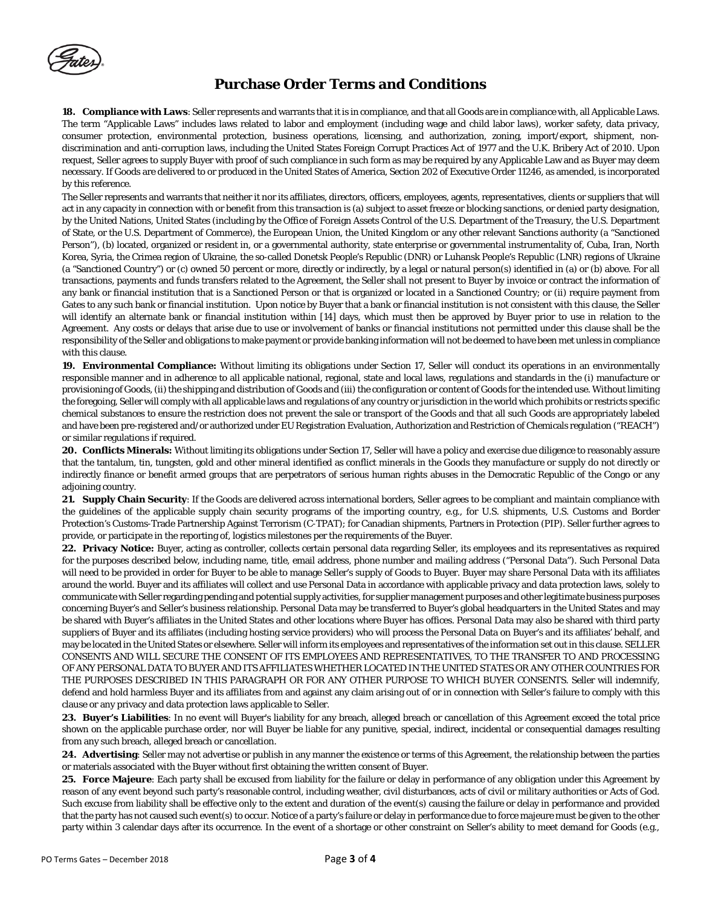

**18. Compliance with Laws**: Seller represents and warrants that it is in compliance, and that all Goods are in compliance with, all Applicable Laws. The term "Applicable Laws" includes laws related to labor and employment (including wage and child labor laws), worker safety, data privacy, consumer protection, environmental protection, business operations, licensing, and authorization, zoning, import/export, shipment, nondiscrimination and anti-corruption laws, including the United States Foreign Corrupt Practices Act of 1977 and the U.K. Bribery Act of 2010. Upon request, Seller agrees to supply Buyer with proof of such compliance in such form as may be required by any Applicable Law and as Buyer may deem necessary. If Goods are delivered to or produced in the United States of America, Section 202 of Executive Order 11246, as amended, is incorporated by this reference.

The Seller represents and warrants that neither it nor its affiliates, directors, officers, employees, agents, representatives, clients or suppliers that will act in any capacity in connection with or benefit from this transaction is (a) subject to asset freeze or blocking sanctions, or denied party designation, by the United Nations, United States (including by the Office of Foreign Assets Control of the U.S. Department of the Treasury, the U.S. Department of State, or the U.S. Department of Commerce), the European Union, the United Kingdom or any other relevant Sanctions authority (a "Sanctioned Person"), (b) located, organized or resident in, or a governmental authority, state enterprise or governmental instrumentality of, Cuba, Iran, North Korea, Syria, the Crimea region of Ukraine, the so-called Donetsk People's Republic (DNR) or Luhansk People's Republic (LNR) regions of Ukraine (a "Sanctioned Country") or (c) owned 50 percent or more, directly or indirectly, by a legal or natural person(s) identified in (a) or (b) above. For all transactions, payments and funds transfers related to the Agreement, the Seller shall not present to Buyer by invoice or contract the information of any bank or financial institution that is a Sanctioned Person or that is organized or located in a Sanctioned Country; or (ii) require payment from Gates to any such bank or financial institution. Upon notice by Buyer that a bank or financial institution is not consistent with this clause, the Seller will identify an alternate bank or financial institution within [14] days, which must then be approved by Buyer prior to use in relation to the Agreement. Any costs or delays that arise due to use or involvement of banks or financial institutions not permitted under this clause shall be the responsibility of the Seller and obligations to make payment or provide banking information will not be deemed to have been met unless in compliance with this clause.

**19. Environmental Compliance:** Without limiting its obligations under Section 17, Seller will conduct its operations in an environmentally responsible manner and in adherence to all applicable national, regional, state and local laws, regulations and standards in the (i) manufacture or provisioning of Goods, (ii) the shipping and distribution of Goods and (iii) the configuration or content of Goods for the intended use. Without limiting the foregoing, Seller will comply with all applicable laws and regulations of any country or jurisdiction in the world which prohibits or restricts specific chemical substances to ensure the restriction does not prevent the sale or transport of the Goods and that all such Goods are appropriately labeled and have been pre-registered and/or authorized under EU Registration Evaluation, Authorization and Restriction of Chemicals regulation ("REACH") or similar regulations if required.

**20. Conflicts Minerals:** Without limiting its obligations under Section 17, Seller will have a policy and exercise due diligence to reasonably assure that the tantalum, tin, tungsten, gold and other mineral identified as conflict minerals in the Goods they manufacture or supply do not directly or indirectly finance or benefit armed groups that are perpetrators of serious human rights abuses in the Democratic Republic of the Congo or any adjoining country.

**21. Supply Chain Security**: If the Goods are delivered across international borders, Seller agrees to be compliant and maintain compliance with the guidelines of the applicable supply chain security programs of the importing country, e.g., for U.S. shipments, U.S. Customs and Border Protection's Customs-Trade Partnership Against Terrorism (C-TPAT); for Canadian shipments, Partners in Protection (PIP). Seller further agrees to provide, or participate in the reporting of, logistics milestones per the requirements of the Buyer.

**22. Privacy Notice:** Buyer, acting as controller, collects certain personal data regarding Seller, its employees and its representatives as required for the purposes described below, including name, title, email address, phone number and mailing address ("Personal Data"). Such Personal Data will need to be provided in order for Buyer to be able to manage Seller's supply of Goods to Buyer. Buyer may share Personal Data with its affiliates around the world. Buyer and its affiliates will collect and use Personal Data in accordance with applicable privacy and data protection laws, solely to communicate with Seller regarding pending and potential supply activities, for supplier management purposes and other legitimate business purposes concerning Buyer's and Seller's business relationship. Personal Data may be transferred to Buyer's global headquarters in the United States and may be shared with Buyer's affiliates in the United States and other locations where Buyer has offices. Personal Data may also be shared with third party suppliers of Buyer and its affiliates (including hosting service providers) who will process the Personal Data on Buyer's and its affiliates' behalf, and may be located in the United States or elsewhere. Seller will inform its employees and representatives of the information set out in this clause. SELLER CONSENTS AND WILL SECURE THE CONSENT OF ITS EMPLOYEES AND REPRESENTATIVES, TO THE TRANSFER TO AND PROCESSING OF ANY PERSONAL DATA TO BUYER AND ITS AFFILIATES WHETHER LOCATED IN THE UNITED STATES OR ANY OTHER COUNTRIES FOR THE PURPOSES DESCRIBED IN THIS PARAGRAPH OR FOR ANY OTHER PURPOSE TO WHICH BUYER CONSENTS. Seller will indemnify, defend and hold harmless Buyer and its affiliates from and against any claim arising out of or in connection with Seller's failure to comply with this clause or any privacy and data protection laws applicable to Seller.

**23. Buyer's Liabilities**: In no event will Buyer's liability for any breach, alleged breach or cancellation of this Agreement exceed the total price shown on the applicable purchase order, nor will Buyer be liable for any punitive, special, indirect, incidental or consequential damages resulting from any such breach, alleged breach or cancellation.

**24. Advertising**: Seller may not advertise or publish in any manner the existence or terms of this Agreement, the relationship between the parties or materials associated with the Buyer without first obtaining the written consent of Buyer.

**25. Force Majeure**: Each party shall be excused from liability for the failure or delay in performance of any obligation under this Agreement by reason of any event beyond such party's reasonable control, including weather, civil disturbances, acts of civil or military authorities or Acts of God. Such excuse from liability shall be effective only to the extent and duration of the event(s) causing the failure or delay in performance and provided that the party has not caused such event(s) to occur. Notice of a party's failure or delay in performance due to force majeure must be given to the other party within 3 calendar days after its occurrence. In the event of a shortage or other constraint on Seller's ability to meet demand for Goods (e.g.,